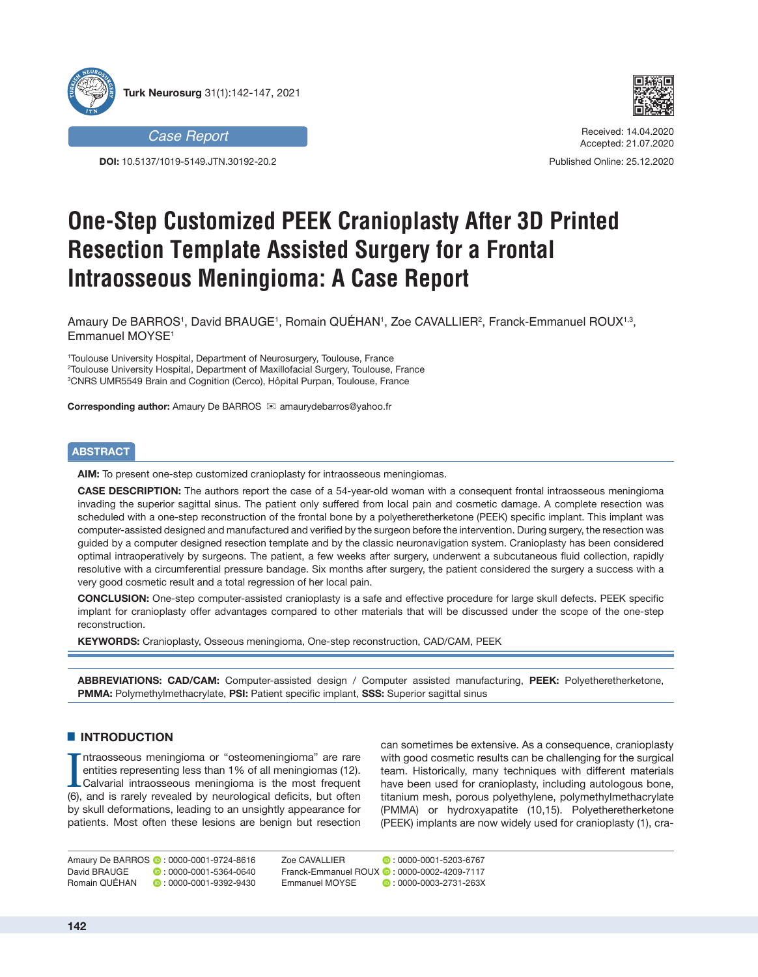



**DOI:** 10.5137/1019-5149.JTN.30192-20.2



Received: 14.04.2020 Accepted: 21.07.2020

Published Online: 25.12.2020

# **One-Step Customized PEEK Cranioplasty After 3D Printed Resection Template Assisted Surgery for a Frontal Intraosseous Meningioma: A Case Report**

Amaury De BARROS1, David BRAUGE1, Romain QUEHAN1, Zoe CAVALLIER<sup>2</sup>, Franck-Emmanuel ROUX<sup>1,3</sup>, Emmanuel MOYSE<sup>1</sup>

1 Toulouse University Hospital, Department of Neurosurgery, Toulouse, France 2 Toulouse University Hospital, Department of Maxillofacial Surgery, Toulouse, France 3 CNRS UMR5549 Brain and Cognition (Cerco), Hôpital Purpan, Toulouse, France

**Corresponding author:** Amaury De BARROS <sup>⊠</sup> amaurydebarros@yahoo.fr

# **ABSTRACT**

**AIM:** To present one-step customized cranioplasty for intraosseous meningiomas.

**CASE DESCRIPTION:** The authors report the case of a 54-year-old woman with a consequent frontal intraosseous meningioma invading the superior sagittal sinus. The patient only suffered from local pain and cosmetic damage. A complete resection was scheduled with a one-step reconstruction of the frontal bone by a polyetheretherketone (PEEK) specific implant. This implant was computer-assisted designed and manufactured and verified by the surgeon before the intervention. During surgery, the resection was guided by a computer designed resection template and by the classic neuronavigation system. Cranioplasty has been considered optimal intraoperatively by surgeons. The patient, a few weeks after surgery, underwent a subcutaneous fluid collection, rapidly resolutive with a circumferential pressure bandage. Six months after surgery, the patient considered the surgery a success with a very good cosmetic result and a total regression of her local pain.

**CONCLUSION:** One-step computer-assisted cranioplasty is a safe and effective procedure for large skull defects. PEEK specific implant for cranioplasty offer advantages compared to other materials that will be discussed under the scope of the one-step reconstruction.

**KEYWORDS:** Cranioplasty, Osseous meningioma, One-step reconstruction, CAD/CAM, PEEK

**ABBREVIATIONS: CAD/CAM:** Computer-assisted design / Computer assisted manufacturing, **PEEK:** Polyetheretherketone, **PMMA:** Polymethylmethacrylate, **PSI:** Patient specific implant, **SSS:** Superior sagittal sinus

## $\blacksquare$  **INTRODUCTION**

Intraosseous meningioma or "osteomeningioma" are rare<br>entities representing less than 1% of all meningiomas (12).<br>Calvarial intraosseous meningioma is the most frequent<br>(6), and is rarely revealed by neurological deficits, ntraosseous meningioma or "osteomeningioma" are rare entities representing less than 1% of all meningiomas (12). Calvarial intraosseous meningioma is the most frequent by skull deformations, leading to an unsightly appearance for patients. Most often these lesions are benign but resection can sometimes be extensive. As a consequence, cranioplasty with good cosmetic results can be challenging for the surgical team. Historically, many techniques with different materials have been used for cranioplasty, including autologous bone, titanium mesh, porous polyethylene, polymethylmethacrylate (PMMA) or hydroxyapatite (10,15). Polyetheretherketone (PEEK) implants are now widely used for cranioplasty (1), cra-

Amaury De BARROS **(b** : 0000-0001-9724-8616<br>David BRAUGE (c) : 0000-0001-5364-0640 Romain QUÉHAN : 0000-0001-9392-9430

 $\bullet$  : 0000-0001-5364-0640

Zoe CAVALLIER : 0000-0001-5203-6767 Franck-Emmanuel ROUX **0**: 0000-0002-4209-7117 Emmanuel MOYSE **:** 0000-0003-2731-263X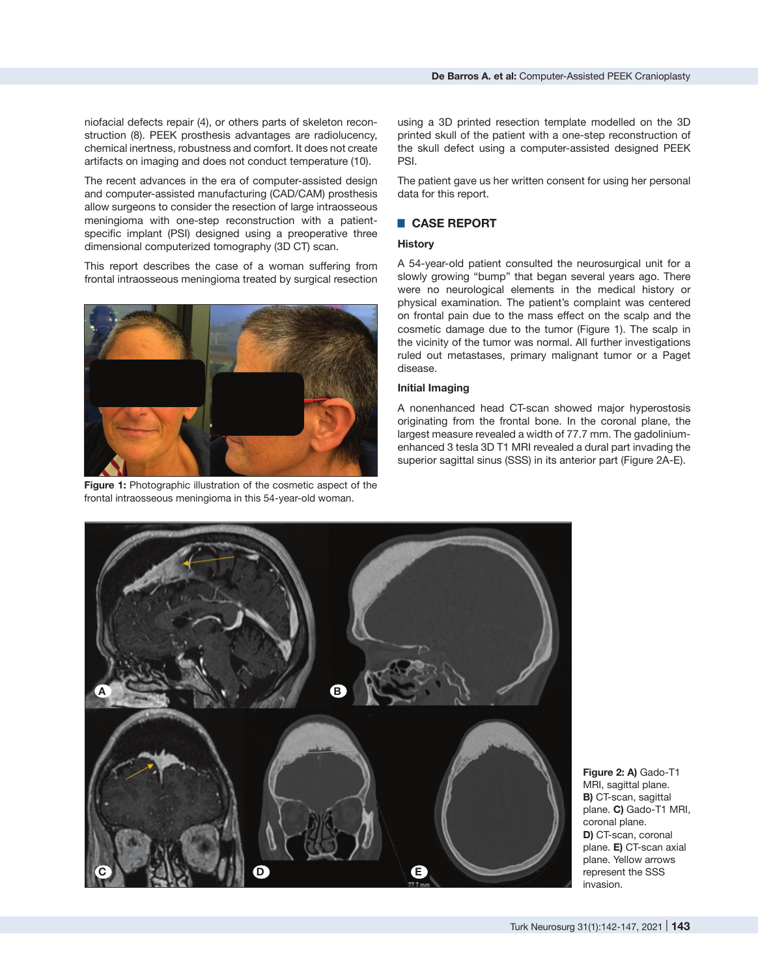The recent advances in the era of computer-assisted design and computer-assisted manufacturing (CAD/CAM) prosthesis allow surgeons to consider the resection of large intraosseous meningioma with one-step reconstruction with a patientspecific implant (PSI) designed using a preoperative three dimensional computerized tomography (3D CT) scan.

chemical inertness, robustness and comfort. It does not create artifacts on imaging and does not conduct temperature (10).

This report describes the case of a woman suffering from frontal intraosseous meningioma treated by surgical resection



**Figure 1:** Photographic illustration of the cosmetic aspect of the frontal intraosseous meningioma in this 54-year-old woman.

using a 3D printed resection template modelled on the 3D printed skull of the patient with a one-step reconstruction of the skull defect using a computer-assisted designed PEEK PSI.

The patient gave us her written consent for using her personal data for this report.

# █ **CASE REPORT**

## **History**

A 54-year-old patient consulted the neurosurgical unit for a slowly growing "bump" that began several years ago. There were no neurological elements in the medical history or physical examination. The patient's complaint was centered on frontal pain due to the mass effect on the scalp and the cosmetic damage due to the tumor (Figure 1). The scalp in the vicinity of the tumor was normal. All further investigations ruled out metastases, primary malignant tumor or a Paget disease.

## **Initial Imaging**

A nonenhanced head CT-scan showed major hyperostosis originating from the frontal bone. In the coronal plane, the largest measure revealed a width of 77.7 mm. The gadoliniumenhanced 3 tesla 3D T1 MRI revealed a dural part invading the superior sagittal sinus (SSS) in its anterior part (Figure 2A-E).



**Figure 2: A)** Gado-T1 MRI, sagittal plane. **B)** CT-scan, sagittal plane. **C)** Gado-T1 MRI, coronal plane. **D)** CT-scan, coronal plane. **E)** CT-scan axial plane. Yellow arrows represent the SSS invasion.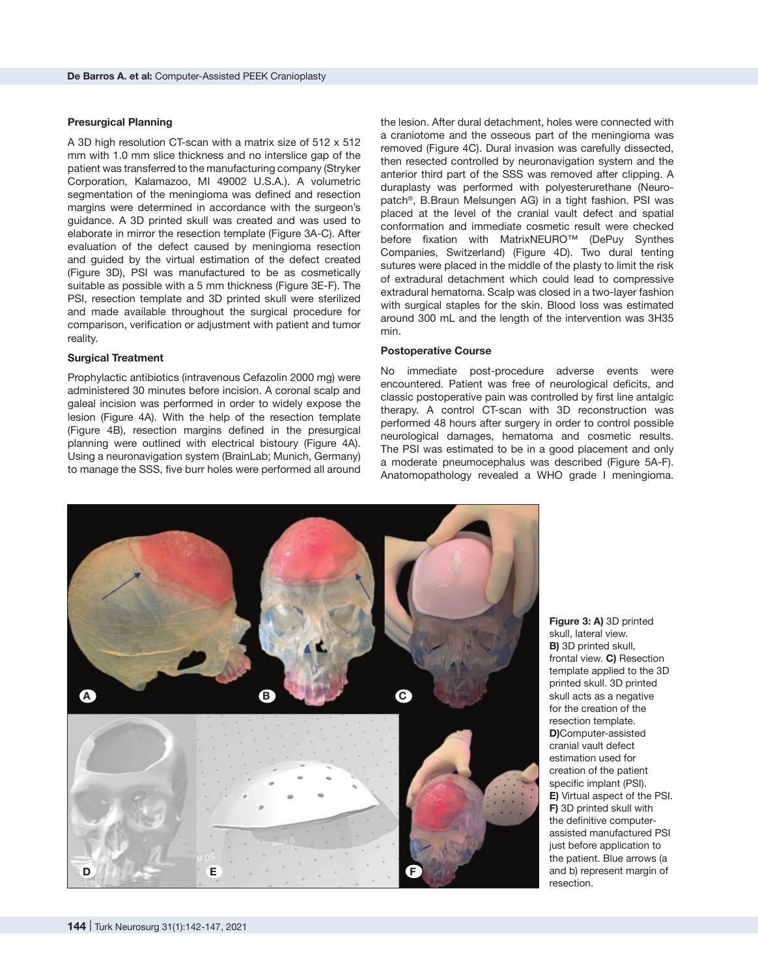#### **Presurgical Planning**

A 3D high resolution CT-scan with a matrix size of 512 x 512 mm with 1.0 mm slice thickness and no interslice gap of the patient was transferred to the manufacturing company (Stryker Corporation, Kalamazoo, MI 49002 U.S.A.). A volumetric segmentation of the meningioma was defined and resection margins were determined in accordance with the surgeon's guidance. A 3D printed skull was created and was used to elaborate in mirror the resection template (Figure 3A-C). After evaluation of the defect caused by meningioma resection and guided by the virtual estimation of the defect created (Figure 3D), PSI was manufactured to be as cosmetically suitable as possible with a 5 mm thickness (Figure 3E-F). The PSI, resection template and 3D printed skull were sterilized and made available throughout the surgical procedure for comparison, verification or adjustment with patient and tumor reality.

### **Surgical Treatment**

Prophylactic antibiotics (intravenous Cefazolin 2000 mg) were administered 30 minutes before incision. A coronal scalp and galeal incision was performed in order to widely expose the lesion (Figure 4A). With the help of the resection template (Figure 4B), resection margins defined in the presurgical planning were outlined with electrical bistoury (Figure 4A). Using a neuronavigation system (BrainLab; Munich, Germany) to manage the SSS, five burr holes were performed all around the lesion. After dural detachment, holes were connected with a craniotome and the osseous part of the meningioma was removed (Figure 4C). Dural invasion was carefully dissected, then resected controlled by neuronavigation system and the anterior third part of the SSS was removed after clipping. A duraplasty was performed with polyesterurethane (Neuropatch®, B.Braun Melsungen AG) in a tight fashion. PSI was placed at the level of the cranial vault defect and spatial conformation and immediate cosmetic result were checked before fixation with MatrixNEURO™ (DePuy Synthes Companies, Switzerland) (Figure 4D). Two dural tenting sutures were placed in the middle of the plasty to limit the risk of extradural detachment which could lead to compressive extradural hematoma. Scalp was closed in a two-layer fashion with surgical staples for the skin. Blood loss was estimated around 300 mL and the length of the intervention was 3H35 min.

#### **Postoperative Course**

No immediate post-procedure adverse events were encountered. Patient was free of neurological deficits, and classic postoperative pain was controlled by first line antalgic therapy. A control CT-scan with 3D reconstruction was performed 48 hours after surgery in order to control possible neurological damages, hematoma and cosmetic results. The PSI was estimated to be in a good placement and only a moderate pneumocephalus was described (Figure 5A-F). Anatomopathology revealed a WHO grade I meningioma.



**Figure 3: A)** 3D printed skull, lateral view. **B)** 3D printed skull, frontal view. **C)** Resection template applied to the 3D printed skull. 3D printed skull acts as a negative for the creation of the resection template. **D)**Computer-assisted cranial vault defect estimation used for creation of the patient specific implant (PSI). **E)** Virtual aspect of the PSI. **F)** 3D printed skull with the definitive computerassisted manufactured PSI just before application to the patient. Blue arrows (a and b) represent margin of resection.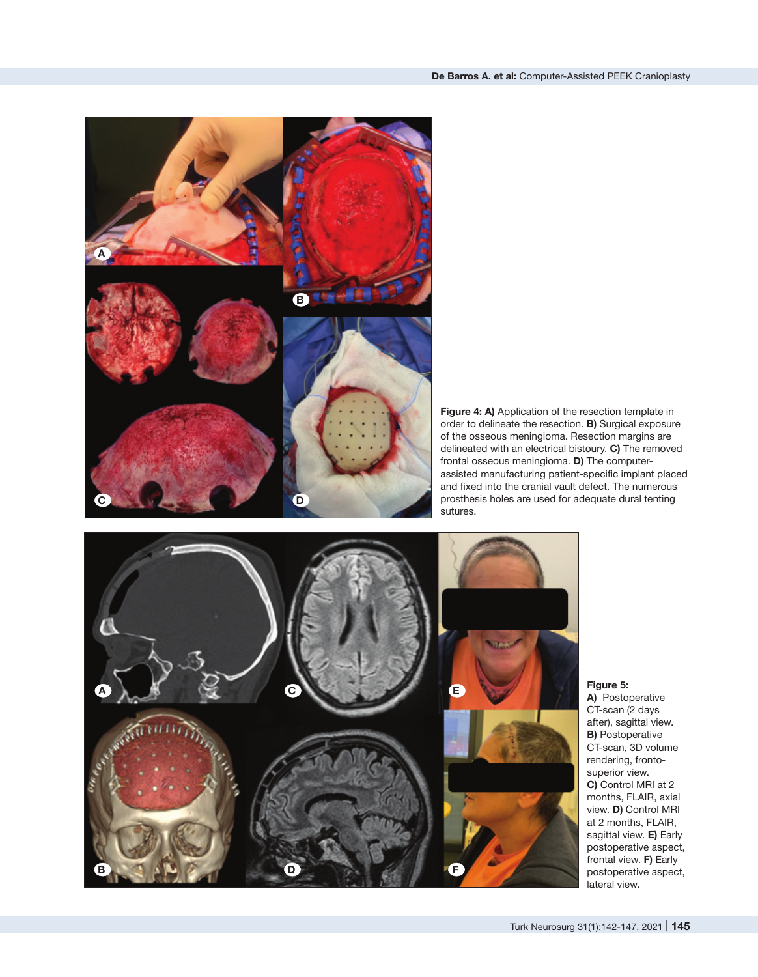

**Figure 4: A)** Application of the resection template in order to delineate the resection. **B)** Surgical exposure of the osseous meningioma. Resection margins are delineated with an electrical bistoury. **C)** The removed frontal osseous meningioma. **D)** The computerassisted manufacturing patient-specific implant placed and fixed into the cranial vault defect. The numerous prosthesis holes are used for adequate dural tenting sutures.



## **Figure 5:**

**A)** Postoperative CT-scan (2 days after), sagittal view. **B)** Postoperative CT-scan, 3D volume rendering, frontosuperior view. **C)** Control MRI at 2 months, FLAIR, axial view. **D)** Control MRI at 2 months, FLAIR, sagittal view. **E)** Early postoperative aspect, frontal view. **F)** Early postoperative aspect, lateral view.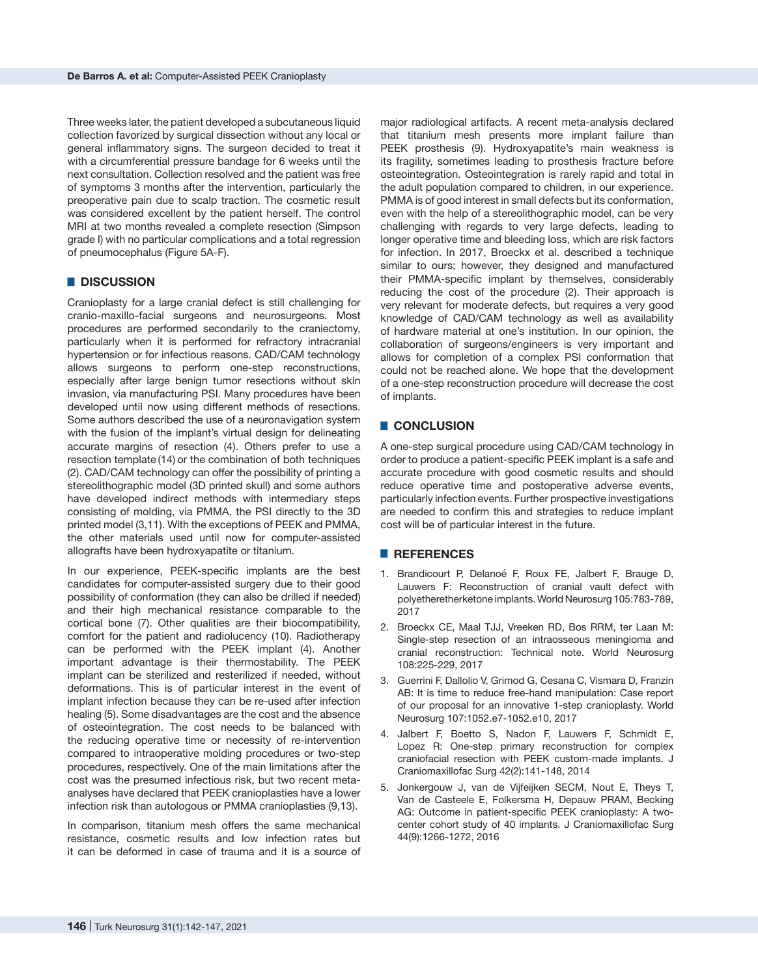Three weeks later, the patient developed a subcutaneous liquid collection favorized by surgical dissection without any local or general inflammatory signs. The surgeon decided to treat it with a circumferential pressure bandage for 6 weeks until the next consultation. Collection resolved and the patient was free of symptoms 3 months after the intervention, particularly the preoperative pain due to scalp traction. The cosmetic result was considered excellent by the patient herself. The control MRI at two months revealed a complete resection (Simpson grade I) with no particular complications and a total regression of pneumocephalus (Figure 5A-F).

### █ **DISCUSSION**

Cranioplasty for a large cranial defect is still challenging for cranio-maxillo-facial surgeons and neurosurgeons. Most procedures are performed secondarily to the craniectomy, particularly when it is performed for refractory intracranial hypertension or for infectious reasons. CAD/CAM technology allows surgeons to perform one-step reconstructions, especially after large benign tumor resections without skin invasion, via manufacturing PSI. Many procedures have been developed until now using different methods of resections. Some authors described the use of a neuronavigation system with the fusion of the implant's virtual design for delineating accurate margins of resection (4). Others prefer to use a resection template (14) or the combination of both techniques (2). CAD/CAM technology can offer the possibility of printing a stereolithographic model (3D printed skull) and some authors have developed indirect methods with intermediary steps consisting of molding, via PMMA, the PSI directly to the 3D printed model (3,11). With the exceptions of PEEK and PMMA, the other materials used until now for computer-assisted allografts have been hydroxyapatite or titanium.

In our experience, PEEK-specific implants are the best candidates for computer-assisted surgery due to their good possibility of conformation (they can also be drilled if needed) and their high mechanical resistance comparable to the cortical bone (7). Other qualities are their biocompatibility, comfort for the patient and radiolucency (10). Radiotherapy can be performed with the PEEK implant (4). Another important advantage is their thermostability. The PEEK implant can be sterilized and resterilized if needed, without deformations. This is of particular interest in the event of implant infection because they can be re-used after infection healing (5). Some disadvantages are the cost and the absence of osteointegration. The cost needs to be balanced with the reducing operative time or necessity of re-intervention compared to intraoperative molding procedures or two-step procedures, respectively. One of the main limitations after the cost was the presumed infectious risk, but two recent metaanalyses have declared that PEEK cranioplasties have a lower infection risk than autologous or PMMA cranioplasties (9,13).

In comparison, titanium mesh offers the same mechanical resistance, cosmetic results and low infection rates but it can be deformed in case of trauma and it is a source of major radiological artifacts. A recent meta-analysis declared that titanium mesh presents more implant failure than PEEK prosthesis (9). Hydroxyapatite's main weakness is its fragility, sometimes leading to prosthesis fracture before osteointegration. Osteointegration is rarely rapid and total in the adult population compared to children, in our experience. PMMA is of good interest in small defects but its conformation, even with the help of a stereolithographic model, can be very challenging with regards to very large defects, leading to longer operative time and bleeding loss, which are risk factors for infection. In 2017, Broeckx et al. described a technique similar to ours; however, they designed and manufactured their PMMA-specific implant by themselves, considerably reducing the cost of the procedure (2). Their approach is very relevant for moderate defects, but requires a very good knowledge of CAD/CAM technology as well as availability of hardware material at one's institution. In our opinion, the collaboration of surgeons/engineers is very important and allows for completion of a complex PSI conformation that could not be reached alone. We hope that the development of a one-step reconstruction procedure will decrease the cost of implants.

## █ **CONCLUSION**

A one-step surgical procedure using CAD/CAM technology in order to produce a patient-specific PEEK implant is a safe and accurate procedure with good cosmetic results and should reduce operative time and postoperative adverse events, particularly infection events. Further prospective investigations are needed to confirm this and strategies to reduce implant cost will be of particular interest in the future.

#### █ **REFERENCES**

- 1. Brandicourt P, Delanoé F, Roux FE, Jalbert F, Brauge D, Lauwers F: Reconstruction of cranial vault defect with polyetheretherketone implants. World Neurosurg 105:783-789, 2017
- 2. Broeckx CE, Maal TJJ, Vreeken RD, Bos RRM, ter Laan M: Single-step resection of an intraosseous meningioma and cranial reconstruction: Technical note. World Neurosurg 108:225-229, 2017
- 3. Guerrini F, Dallolio V, Grimod G, Cesana C, Vismara D, Franzin AB: It is time to reduce free-hand manipulation: Case report of our proposal for an innovative 1-step cranioplasty. World Neurosurg 107:1052.e7-1052.e10, 2017
- 4. Jalbert F, Boetto S, Nadon F, Lauwers F, Schmidt E, Lopez R: One-step primary reconstruction for complex craniofacial resection with PEEK custom-made implants. J Craniomaxillofac Surg 42(2):141-148, 2014
- 5. Jonkergouw J, van de Vijfeijken SECM, Nout E, Theys T, Van de Casteele E, Folkersma H, Depauw PRAM, Becking AG: Outcome in patient-specific PEEK cranioplasty: A twocenter cohort study of 40 implants. J Craniomaxillofac Surg 44(9):1266-1272, 2016